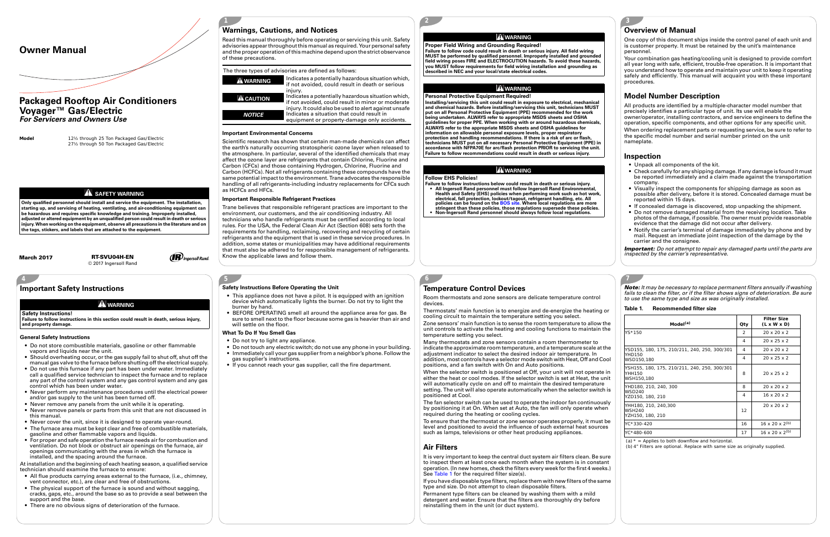**7**

**2**

**3**

**Model**

 12½ through 25 Ton Packaged Gas/Electric 27½ through 50 Ton Packaged Gas/Electric

**A** SAFETY WARNING

**Only qualified personnel should install and service the equipment. The installation, starting up, and servicing of heating, ventilating, and air-conditioning equipment can be hazardous and requires specific knowledge and training. Improperly installed, adjusted or altered equipment by an unqualified person could result in death or serious injury. When working on the equipment, observe all precautions in the literature and on the tags, stickers, and labels that are attached to the equipment.**

**4**

## **5**

**1**

Indicates a potentially hazardous situation which,<br>if not avoided, could result in death or serious injury.<br>Indicates a potentially hazardous situation which,

# **Owner Manual**

# **Packaged Rooftop Air Conditioners Voyager™ Gas/Electric** *For Servicers and Owners Use*

# **Warnings, Cautions, and Notices**

Read this manual thoroughly before operating or servicing this unit. Safety advisories appear throughout this manual as required. Your personal safety and the proper operation of this machine depend upon the strict observance of these precautions.

#### **Important Environmental Concerns**

Scientific research has shown that certain man-made chemicals can affect the earth's naturally occurring stratospheric ozone layer when released to the atmosphere. In particular, several of the identified chemicals that may affect the ozone layer are refrigerants that contain Chlorine, Fluorine and Carbon (CFCs) and those containing Hydrogen, Chlorine, Fluorine and Carbon (HCFCs). Not all refrigerants containing these compounds have the same potential impact to the environment. Trane advocates the responsible handling of all refrigerants-including industry replacements for CFCs such as HCFCs and HFCs.

f not avoided, could result in minor or moderate injury. It could also be used to alert against unsafe ndicates a situation that could result in equipment or property-damage only accidents.

### **Important Responsible Refrigerant Practices**

Trane believes that responsible refrigerant practices are important to the environment, our customers, and the air conditioning industry. All technicians who handle refrigerants must be certified according to local rules. For the USA, the Federal Clean Air Act (Section 608) sets forth the requirements for handling, reclaiming, recovering and recycling of certain refrigerants and the equipment that is used in these service procedures. In addition, some states or municipalities may have additional requirements that must also be adhered to for responsible management of refrigerants. Know the applicable laws and follow them.

- **Failure to follow instructions below could result in death or serious injury. • All Ingersoll Rand personnel must follow Ingersoll Rand Environmental, Health and Safety (EHS) policies when performing work such as hot work,**  electrical, fall protection, lockout/tagout, refrigerant handling, etc. All<br>policies can be found on the BOS site. Where local regulations are more<br>stringent than these policies, those regulations supersede these policies.
- 

#### The three types of advisories are defined as follows:





## **WARNING**

**Proper Field Wiring and Grounding Required!**

**Failure to follow code could result in death or serious injury. All field wiring MUST be performed by qualified personnel. Improperly installed and grounded field wiring poses FIRE and ELECTROCUTION hazards. To avoid these hazards, you MUST follow requirements for field wiring installation and grounding as described in NEC and your local/state electrical codes.** 

## **WARNING**

#### **Personal Protective Equipment Required!**

**Installing/servicing this unit could result in exposure to electrical, mechanical and chemical hazards. Before installing/servicing this unit, technicians MUST put on all Personal Protective Equipment (PPE) recommended for the work being undertaken. ALWAYS refer to appropriate MSDS sheets and OSHA guidelines for proper PPE. When working with or around hazardous chemicals, ALWAYS refer to the appropriate MSDS sheets and OSHA guidelines for information on allowable personal exposure levels, proper respiratory protection and handling recommendations. If there is a risk of arc or flash, technicians MUST put on all necessary Personal Protective Equipment (PPE) in accordance with NFPA70E for arc/flash protection PRIOR to servicing the unit. Failure to follow recommendations could result in death or serious injury.**

## **WARNING**

## **Follow EHS Policies!**

**6**

# **Overview of Manual**

One copy of this document ships inside the control panel of each unit and is customer property. It must be retained by the unit's maintenance personnel.

Your combination gas heating/cooling unit is designed to provide comfort all year long with safe, efficient, trouble-free operation. It is important that you understand how to operate and maintain your unit to keep it operating safely and efficiently. This manual will acquaint you with these important procedures.

## **Model Number Description**

It is very important to keep the central duct system air filters clean. Be sure to inspect them at least once each month when the system is in constant operation. (In new homes, check the filters every week for the first 4 weeks.) See Table 1 for the required filter size(s).

All products are identified by a multiple-character model number that precisely identifies a particular type of unit. Its use will enable the owner/operator, installing contractors, and service engineers to define the operation, specific components, and other options for any specific unit. When ordering replacement parts or requesting service, be sure to refer to the specific model number and serial number printed on the unit nameplate.

## **Inspection**

- Unpack all components of the kit.
- Check carefully for any shipping damage. If any damage is found it must be reported immediately and a claim made against the transportation company.
- Visually inspect the components for shipping damage as soon as possible after delivery, before it is stored. Concealed damage must be reported within 15 days.
- If concealed damage is discovered, stop unpacking the shipment.
- Do not remove damaged material from the receiving location. Take photos of the damage, if possible. The owner must provide reasonable evidence that the damage did not occur after delivery.
- Notify the carrier's terminal of damage immediately by phone and by mail. Request an immediate joint inspection of the damage by the carrier and the consignee.

*Important: Do not attempt to repair any damaged parts until the parts are inspected by the carrier's representative.*

# **Important Safety Instructions**

#### **General Safety Instructions**

- Do not store combustible materials, gasoline or other flammable vapors and liquids near the unit.
- Should overheating occur, or the gas supply fail to shut off, shut off the manual gas valve to the furnace before shutting off the electrical supply.
- Do not use this furnace if any part has been under water. Immediately call a qualified service technician to inspect the furnace and to replace any part of the control system and any gas control system and any gas control which has been under water.
- Never perform any maintenance procedures until the electrical power and/or gas supply to the unit has been turned off.
- Never remove any panels from the unit while it is operating.
- Never remove panels or parts from this unit that are not discussed in this manual.
- Never cover the unit, since it is designed to operate year-round.
- The furnace area must be kept clear and free of combustible materials, gasoline and other flammable vapors and liquids.
- For proper and safe operation the furnace needs air for combustion and ventilation. Do not block or obstruct air openings on the furnace, air openings communicating with the areas in which the furnace is installed, and the spacing around the furnace.

At installation and the beginning of each heating season, a qualified service technician should examine the furnace to ensure:

- All flue products carrying areas external to the furnace, (i.e., chimney, vent connector, etc.), are clear and free of obstructions.
- The physical support of the furnace is sound and without sagging, cracks, gaps, etc., around the base so as to provide a seal between the support and the base.
- There are no obvious signs of deterioration of the furnace.

### **WARNING**

#### **Safety Instructions!**

**Failure to follow instructions in this section could result in death, serious injury, and property damage.**

### **Safety Instructions Before Operating the Unit**

- This appliance does not have a pilot. It is equipped with an ignition device which automatically lights the burner. Do not try to light the burner by hand.
- BEFORE OPERATING smell all around the appliance area for gas. Be sure to smell next to the floor because some gas is heavier than air and will settle on the floor.

### <span id="page-0-0"></span>**What To Do If You Smell Gas**

- Do not try to light any appliance.
- Do not touch any electric switch; do not use any phone in your building. • Immediately call your gas supplier from a neighbor's phone. Follow the
- gas supplier's instructions.
- If you cannot reach your gas supplier, call the fire department.

# **Temperature Control Devices**

Room thermostats and zone sensors are delicate temperature control devices.

Thermostats' main function is to energize and de-energize the heating or cooling circuit to maintain the temperature setting you select.

Zone sensors' main function is to sense the room temperature to allow the unit controls to activate the heating and cooling functions to maintain the temperature setting you select.

Many thermostats and zone sensors contain a room thermometer to indicate the approximate room temperature, and a temperature scale at the adjustment indicator to select the desired indoor air temperature. In addition, most controls have a selector mode switch with Heat, Off and Cool positions, and a fan switch with On and Auto positions.

When the selector switch is positioned at Off, your unit will not operate in either the heat or cool modes. If the selector switch is set at Heat, the unit will automatically cycle on and off to maintain the desired temperature setting. The unit will also operate automatically when the selector switch is positioned at Cool.

The fan selector switch can be used to operate the indoor fan continuously by positioning it at On. When set at Auto, the fan will only operate when required during the heating or cooling cycles.

To ensure that the thermostat or zone sensor operates properly, it must be level and positioned to avoid the influence of such external heat sources such as lamps, televisions or other heat producing appliances.

## **Air Filters**

If you have disposable type filters, replace them with new filters of the same type and size. Do not attempt to clean disposable filters.

Permanent type filters can be cleaned by washing them with a mild detergent and water. Ensure that the filters are thoroughly dry before reinstalling them in the unit (or duct system).

*Note: It may be necessary to replace permanent filters annually if washing fails to clean the filter, or if the filter shows signs of deterioration. Be sure to use the same type and size as was originally installed.*

### **Table 1. Recommended filter size**

| Model <sup>(a)</sup>                                                 | Qty | <b>Filter Size</b><br>$(L \times W \times D)$ |
|----------------------------------------------------------------------|-----|-----------------------------------------------|
| YS*150                                                               | 2   | $20 \times 20 \times 2$                       |
|                                                                      | 4   | $20 \times 25 \times 2$                       |
| YSD155, 180, 175, 210/211, 240, 250, 300/301                         | 4   | $20 \times 20 \times 2$                       |
| YHD150<br>WSD150,180                                                 | 4   | $20 \times 25 \times 2$                       |
| YSH155, 180, 175, 210/211, 240, 250, 300/301<br>YHH150<br>WSH150,180 | 8   | $20 \times 25 \times 2$                       |
| YHD180, 210, 240, 300                                                | 8   | $20 \times 20 \times 2$                       |
| <b>WSD240</b><br>YZD150, 180, 210                                    | 4   | $16 \times 20 \times 2$                       |
| YHH180, 210, 240,300<br><b>WSH240</b><br>YZH150, 180, 210            | 12  | $20 \times 20 \times 2$                       |
| YC*330-420                                                           | 16  | $16 \times 20 \times 2^{(b)}$                 |
| YC*480-600                                                           | 17  | 16 x 20 x 2 <sup>(b)</sup>                    |

(a)  $* =$  Applies to both downflow and horizontal

(b) 4" Filters are optional. Replace with same size as originally supplied.

**March 2017**

 **RT-SVU04H-EN** © 2017 Ingersoll Rand **IR** Ingersoll Rand.